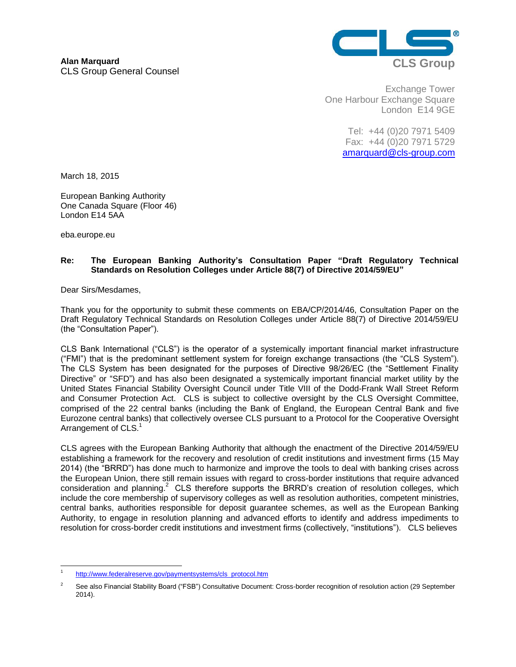

Exchange Tower One Harbour Exchange Square London E14 9GE

> Tel: +44 (0)20 7971 5409 Fax: +44 (0)20 7971 5729 [amarquard@cls-group.com](mailto:amarquard@cls-group.com)

March 18, 2015

European Banking Authority One Canada Square (Floor 46) London E14 5AA

eba.europe.eu

## **Re: The European Banking Authority's Consultation Paper "Draft Regulatory Technical Standards on Resolution Colleges under Article 88(7) of Directive 2014/59/EU"**

Dear Sirs/Mesdames,

Thank you for the opportunity to submit these comments on EBA/CP/2014/46, Consultation Paper on the Draft Regulatory Technical Standards on Resolution Colleges under Article 88(7) of Directive 2014/59/EU (the "Consultation Paper").

CLS Bank International ("CLS") is the operator of a systemically important financial market infrastructure ("FMI") that is the predominant settlement system for foreign exchange transactions (the "CLS System"). The CLS System has been designated for the purposes of Directive 98/26/EC (the "Settlement Finality Directive" or "SFD") and has also been designated a systemically important financial market utility by the United States Financial Stability Oversight Council under Title VIII of the Dodd-Frank Wall Street Reform and Consumer Protection Act. CLS is subject to collective oversight by the CLS Oversight Committee, comprised of the 22 central banks (including the Bank of England, the European Central Bank and five Eurozone central banks) that collectively oversee CLS pursuant to a Protocol for the Cooperative Oversight Arrangement of CLS.<sup>1</sup>

CLS agrees with the European Banking Authority that although the enactment of the Directive 2014/59/EU establishing a framework for the recovery and resolution of credit institutions and investment firms (15 May 2014) (the "BRRD") has done much to harmonize and improve the tools to deal with banking crises across the European Union, there still remain issues with regard to cross-border institutions that require advanced consideration and planning.<sup>2</sup> CLS therefore supports the BRRD's creation of resolution colleges, which include the core membership of supervisory colleges as well as resolution authorities, competent ministries, central banks, authorities responsible for deposit guarantee schemes, as well as the European Banking Authority, to engage in resolution planning and advanced efforts to identify and address impediments to resolution for cross-border credit institutions and investment firms (collectively, "institutions"). CLS believes

<sup>-</sup>1 [http://www.federalreserve.gov/paymentsystems/cls\\_protocol.htm](http://www.federalreserve.gov/paymentsystems/cls_protocol.htm)

<sup>&</sup>lt;sup>2</sup> See also Financial Stability Board ("FSB") Consultative Document: Cross-border recognition of resolution action (29 September 2014).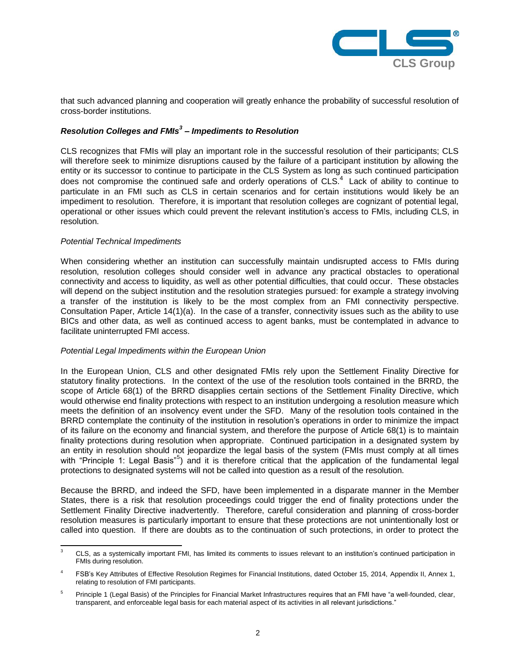

that such advanced planning and cooperation will greatly enhance the probability of successful resolution of cross-border institutions.

# *Resolution Colleges and FMIs<sup>3</sup> – Impediments to Resolution*

CLS recognizes that FMIs will play an important role in the successful resolution of their participants; CLS will therefore seek to minimize disruptions caused by the failure of a participant institution by allowing the entity or its successor to continue to participate in the CLS System as long as such continued participation does not compromise the continued safe and orderly operations of CLS. $4$  Lack of ability to continue to particulate in an FMI such as CLS in certain scenarios and for certain institutions would likely be an impediment to resolution. Therefore, it is important that resolution colleges are cognizant of potential legal, operational or other issues which could prevent the relevant institution's access to FMIs, including CLS, in resolution.

#### *Potential Technical Impediments*

When considering whether an institution can successfully maintain undisrupted access to FMIs during resolution, resolution colleges should consider well in advance any practical obstacles to operational connectivity and access to liquidity, as well as other potential difficulties, that could occur. These obstacles will depend on the subject institution and the resolution strategies pursued: for example a strategy involving a transfer of the institution is likely to be the most complex from an FMI connectivity perspective. Consultation Paper, Article 14(1)(a). In the case of a transfer, connectivity issues such as the ability to use BICs and other data, as well as continued access to agent banks, must be contemplated in advance to facilitate uninterrupted FMI access.

#### *Potential Legal Impediments within the European Union*

In the European Union, CLS and other designated FMIs rely upon the Settlement Finality Directive for statutory finality protections. In the context of the use of the resolution tools contained in the BRRD, the scope of Article 68(1) of the BRRD disapplies certain sections of the Settlement Finality Directive, which would otherwise end finality protections with respect to an institution undergoing a resolution measure which meets the definition of an insolvency event under the SFD. Many of the resolution tools contained in the BRRD contemplate the continuity of the institution in resolution's operations in order to minimize the impact of its failure on the economy and financial system, and therefore the purpose of Article 68(1) is to maintain finality protections during resolution when appropriate. Continued participation in a designated system by an entity in resolution should not jeopardize the legal basis of the system (FMIs must comply at all times with "Principle 1: Legal Basis"<sup>5</sup>) and it is therefore critical that the application of the fundamental legal protections to designated systems will not be called into question as a result of the resolution.

Because the BRRD, and indeed the SFD, have been implemented in a disparate manner in the Member States, there is a risk that resolution proceedings could trigger the end of finality protections under the Settlement Finality Directive inadvertently. Therefore, careful consideration and planning of cross-border resolution measures is particularly important to ensure that these protections are not unintentionally lost or called into question. If there are doubts as to the continuation of such protections, in order to protect the

 $\mathsf 3$ <sup>3</sup> CLS, as a systemically important FMI, has limited its comments to issues relevant to an institution's continued participation in FMIs during resolution.

<sup>4</sup> FSB's Key Attributes of Effective Resolution Regimes for Financial Institutions, dated October 15, 2014, Appendix II, Annex 1, relating to resolution of FMI participants.

<sup>&</sup>lt;sup>5</sup> Principle 1 (Legal Basis) of the Principles for Financial Market Infrastructures requires that an FMI have "a well-founded. clear. transparent, and enforceable legal basis for each material aspect of its activities in all relevant jurisdictions."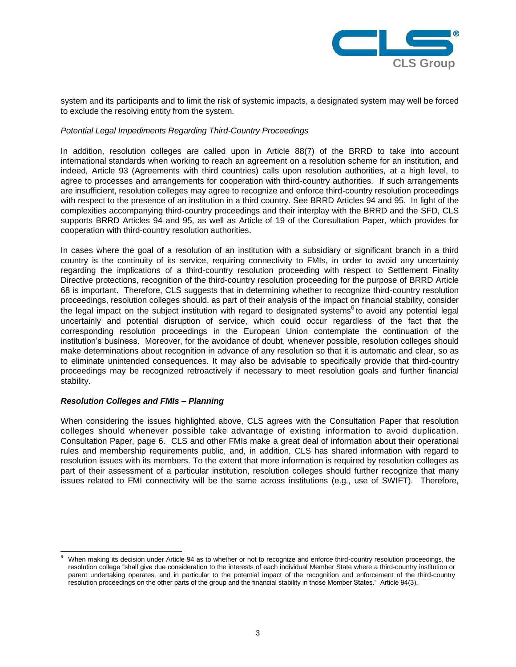

system and its participants and to limit the risk of systemic impacts, a designated system may well be forced to exclude the resolving entity from the system.

#### *Potential Legal Impediments Regarding Third-Country Proceedings*

In addition, resolution colleges are called upon in Article 88(7) of the BRRD to take into account international standards when working to reach an agreement on a resolution scheme for an institution, and indeed, Article 93 (Agreements with third countries) calls upon resolution authorities, at a high level, to agree to processes and arrangements for cooperation with third-country authorities. If such arrangements are insufficient, resolution colleges may agree to recognize and enforce third-country resolution proceedings with respect to the presence of an institution in a third country. See BRRD Articles 94 and 95. In light of the complexities accompanying third-country proceedings and their interplay with the BRRD and the SFD, CLS supports BRRD Articles 94 and 95, as well as Article of 19 of the Consultation Paper, which provides for cooperation with third-country resolution authorities.

In cases where the goal of a resolution of an institution with a subsidiary or significant branch in a third country is the continuity of its service, requiring connectivity to FMIs, in order to avoid any uncertainty regarding the implications of a third-country resolution proceeding with respect to Settlement Finality Directive protections, recognition of the third-country resolution proceeding for the purpose of BRRD Article 68 is important. Therefore, CLS suggests that in determining whether to recognize third-country resolution proceedings, resolution colleges should, as part of their analysis of the impact on financial stability, consider the legal impact on the subject institution with regard to designated systems<sup>6</sup> to avoid any potential legal uncertainly and potential disruption of service, which could occur regardless of the fact that the corresponding resolution proceedings in the European Union contemplate the continuation of the institution's business. Moreover, for the avoidance of doubt, whenever possible, resolution colleges should make determinations about recognition in advance of any resolution so that it is automatic and clear, so as to eliminate unintended consequences. It may also be advisable to specifically provide that third-country proceedings may be recognized retroactively if necessary to meet resolution goals and further financial stability.

### *Resolution Colleges and FMIs – Planning*

When considering the issues highlighted above, CLS agrees with the Consultation Paper that resolution colleges should whenever possible take advantage of existing information to avoid duplication. Consultation Paper, page 6. CLS and other FMIs make a great deal of information about their operational rules and membership requirements public, and, in addition, CLS has shared information with regard to resolution issues with its members. To the extent that more information is required by resolution colleges as part of their assessment of a particular institution, resolution colleges should further recognize that many issues related to FMI connectivity will be the same across institutions (e.g., use of SWIFT). Therefore,

<sup>-</sup>When making its decision under Article 94 as to whether or not to recognize and enforce third-country resolution proceedings, the resolution college "shall give due consideration to the interests of each individual Member State where a third-country institution or parent undertaking operates, and in particular to the potential impact of the recognition and enforcement of the third-country resolution proceedings on the other parts of the group and the financial stability in those Member States." Article 94(3).